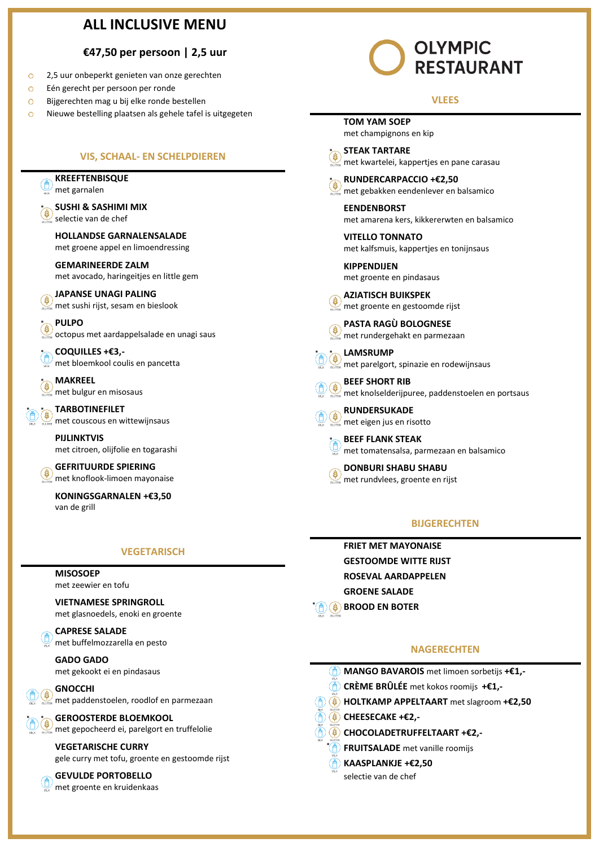# **ALL INCLUSIVE MENU**

### **€47,50 per persoon | 2,5 uur**

- 2,5 uur onbeperkt genieten van onze gerechten  $\circ$
- $\circ$ Eén gerecht per persoon per ronde
- $\circ$ Bijgerechten mag u bij elke ronde bestellen
- $\circ$ Nieuwe bestelling plaatsen als gehele tafel is uitgegeten

### **VIS, SCHAAL- EN SCHELPDIEREN**

**KREEFTENBISQUE**  met garnalen

**\* SUSHI & SASHIMI MIX** selectie van de chef

**HOLLANDSE GARNALENSALADE**

met groene appel en limoendressing

**GEMARINEERDE ZALM** met avocado, haringeitjes en little gem

- **JAPANSE UNAGI PALING** S met sushi rijst, sesam en bieslook
- **\* PULPO**

 $\sqrt{ }$  octopus met aardappelsalade en unagi saus

**\* COQUILLES +€3,** met bloemkool coulis en pancetta

**\* MAKREEL**  $\frac{7}{4}$  met bulgur en misosaus

**\* \* TARBOTINEFILET**

met couscous en wittewijnsaus

**PIJLINKTVIS** met citroen, olijfolie en togarashi

**GEFRITUURDE SPIERING** ۴ met knoflook-limoen mayonaise

**KONINGSGARNALEN +€3,50** van de grill

### **VEGETARISCH**

#### **MISOSOEP**

met zeewier en tofu

**VIETNAMESE SPRINGROLL** met glasnoedels, enoki en groente

**CAPRESE SALADE** met buffelmozzarella en pesto

**GADO GADO** met gekookt ei en pindasaus

**GNOCCHI** met paddenstoelen, roodlof en parmezaan

# **\* \* GEROOSTERDE BLOEMKOOL**

met gepocheerd ei, parelgort en truffelolie

# **VEGETARISCHE CURRY**

gele curry met tofu, groente en gestoomde rijst

# **GEVULDE PORTOBELLO**

met groente en kruidenkaas

# **OLYMPIC RESTAURANT**

### **VLEES**

**TOM YAM SOEP** met champignons en kip

**\* STEAK TARTARE** met kwartelei, kappertjes en pane carasau

**\* RUNDERCARPACCIO +€2,50** met gebakken eendenlever en balsamico

**EENDENBORST** met amarena kers, kikkererwten en balsamico

**VITELLO TONNATO** met kalfsmuis, kappertjes en tonijnsaus

**KIPPENDIJEN** met groente en pindasaus

**AZIATISCH BUIKSPEK**  $\sum_{\text{current}}$  met groente en gestoomde rijst

**PASTA RAGÙ BOLOGNESE** met rundergehakt en parmezaan



met parelgort, spinazie en rodewijnsaus

**BEEF SHORT RIB** S met knolselderijpuree, paddenstoelen en portsaus

**RUNDERSUKADE** met eigen jus en risotto

**\* BEEF FLANK STEAK** met tomatensalsa, parmezaan en balsamico

**DONBURI SHABU SHABU** met rundvlees, groente en rijst

### **BIJGERECHTEN**

**FRIET MET MAYONAISE GESTOOMDE WITTE RIJST ROSEVAL AARDAPPELEN GROENE SALADE \* BROOD EN BOTER**

## **NAGERECHTEN**

- **MANGO BAVAROIS** met limoen sorbetijs **+€1,-**
- **CRÈME BRÛLÉE** met kokos roomijs **+€1,-**
- **HOLTKAMP APPELTAART** met slagroom **+€2,50**
- **CHEESECAKE +€2,-**

**\***

- **CHOCOLADETRUFFELTAART +€2,-**
	- **FRUITSALADE** met vanille roomijs
	- **KAASPLANKJE +€2,50**

selectie van de chef